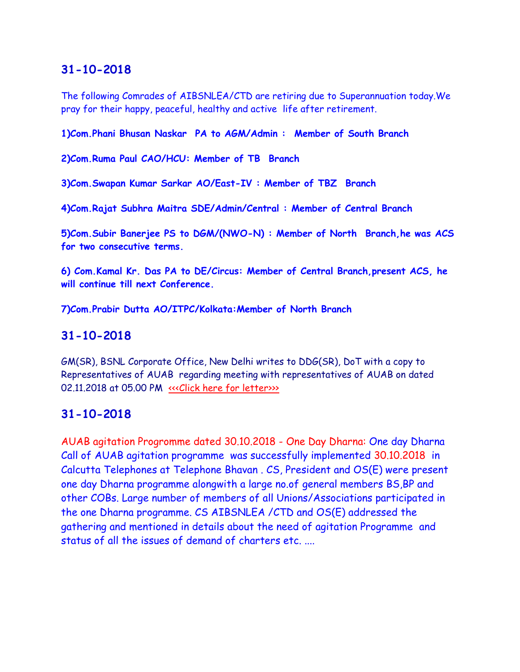The following Comrades of AIBSNLEA/CTD are retiring due to Superannuation today.We pray for their happy, peaceful, healthy and active life after retirement.

**1)Com.Phani Bhusan Naskar PA to AGM/Admin : Member of South Branch**

**2)Com.Ruma Paul CAO/HCU: Member of TB Branch**

**3)Com.Swapan Kumar Sarkar AO/East-IV : Member of TBZ Branch**

**4)Com.Rajat Subhra Maitra SDE/Admin/Central : Member of Central Branch**

**5)Com.Subir Banerjee PS to DGM/(NWO-N) : Member of North Branch,he was ACS for two consecutive terms.**

**6) Com.Kamal Kr. Das PA to DE/Circus: Member of Central Branch,present ACS, he will continue till next Conference.**

**7)Com.Prabir Dutta AO/ITPC/Kolkata:Member of North Branch**

# **31-10-2018**

GM(SR), BSNL Corporate Office, New Delhi writes to DDG(SR), DoT with a copy to Representatives of AUAB regarding meeting with representatives of AUAB on dated 02.11.2018 at 05.00 PM «<< Click here for letter>>>

## **31-10-2018**

AUAB agitation Progromme dated 30.10.2018 - One Day Dharna: One day Dharna Call of AUAB agitation programme was successfully implemented 30.10.2018 in Calcutta Telephones at Telephone Bhavan . CS, President and OS(E) were present one day Dharna programme alongwith a large no.of general members BS,BP and other COBs. Large number of members of all Unions/Associations participated in the one Dharna programme. CS AIBSNLEA /CTD and OS(E) addressed the gathering and mentioned in details about the need of agitation Programme and status of all the issues of demand of charters etc. ....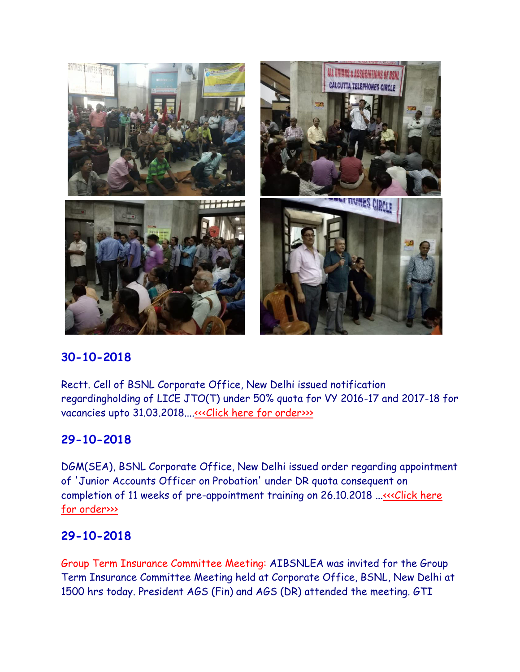

Rectt. Cell of BSNL Corporate Office, New Delhi issued notification regardingholding of LICE JTO(T) under 50% quota for VY 2016-17 and 2017-18 for vacancies upto 31.03.2018...[.<<<Click here for order>>>](http://www.aibsnleachq.in/lice%20jtot%20notice.pdf)

# **29-10-2018**

DGM(SEA), BSNL Corporate Office, New Delhi issued order regarding appointment of 'Junior Accounts Officer on Probation' under DR quota consequent on completion of 11 weeks of pre-appointment training on 26.10.2018 ...<<< Click here [for order>>>](http://www.aibsnleachq.in/DRJAOAPPO261018.pdf)

# **29-10-2018**

Group Term Insurance Committee Meeting: AIBSNLEA was invited for the Group Term Insurance Committee Meeting held at Corporate Office, BSNL, New Delhi at 1500 hrs today. President AGS (Fin) and AGS (DR) attended the meeting. GTI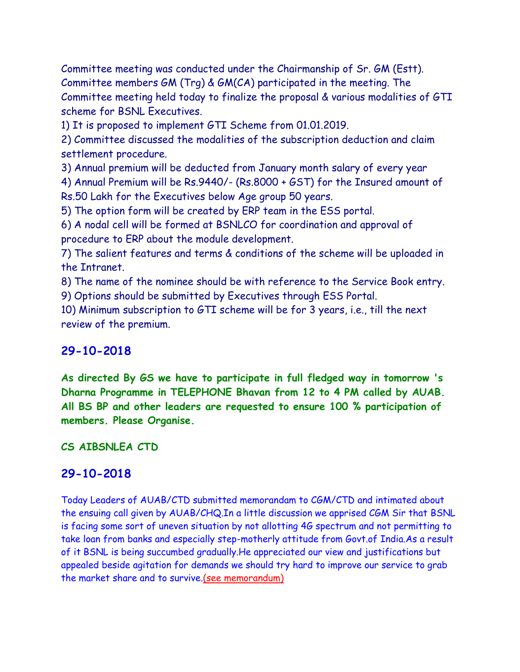Committee meeting was conducted under the Chairmanship of Sr. GM (Estt). Committee members GM (Trg) & GM(CA) participated in the meeting. The Committee meeting held today to finalize the proposal & various modalities of GTI scheme for BSNL Executives.

1) It is proposed to implement GTI Scheme from 01.01.2019.

2) Committee discussed the modalities of the subscription deduction and claim settlement procedure.

3) Annual premium will be deducted from January month salary of every year 4) Annual Premium will be Rs.9440/- (Rs.8000 + GST) for the Insured amount of Rs.50 Lakh for the Executives below Age group 50 years.

5) The option form will be created by ERP team in the ESS portal.

6) A nodal cell will be formed at BSNLCO for coordination and approval of procedure to ERP about the module development.

7) The salient features and terms & conditions of the scheme will be uploaded in the Intranet.

8) The name of the nominee should be with reference to the Service Book entry. 9) Options should be submitted by Executives through ESS Portal.

10) Minimum subscription to GTI scheme will be for 3 years, i.e., till the next review of the premium.

# **29-10-2018**

**As directed By GS we have to participate in full fledged way in tomorrow 's Dharna Programme in TELEPHONE Bhavan from 12 to 4 PM called by AUAB. All BS BP and other leaders are requested to ensure 100 % participation of members. Please Organise.**

## **CS AIBSNLEA CTD**

# **29-10-2018**

Today Leaders of AUAB/CTD submitted memorandam to CGM/CTD and intimated about the ensuing call given by AUAB/CHQ.In a little discussion we apprised CGM Sir that BSNL is facing some sort of uneven situation by not allotting 4G spectrum and not permitting to take loan from banks and especially step-motherly attitude from Govt.of India.As a result of it BSNL is being succumbed gradually.He appreciated our view and justifications but appealed beside agitation for demands we should try hard to improve our service to grab the market share and to survive[.\(see memorandum\)](http://aibsnleawb.org/scan%20AUAB.pdf)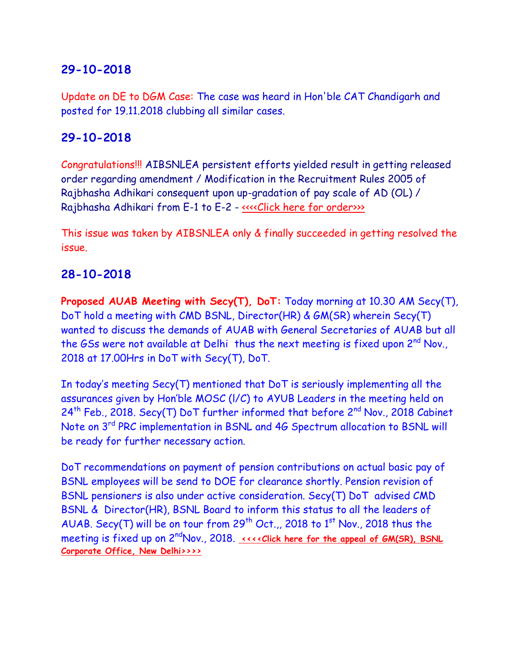Update on DE to DGM Case: The case was heard in Hon'ble CAT Chandigarh and posted for 19.11.2018 clubbing all similar cases.

# **29-10-2018**

Congratulations!!! AIBSNLEA persistent efforts yielded result in getting released order regarding amendment / Modification in the Recruitment Rules 2005 of Rajbhasha Adhikari consequent upon up-gradation of pay scale of AD (OL) / Rajbhasha Adhikari from E-1 to E-2 - [<<<<Click here for order>>>](http://www.aibsnleachq.in/P-II-02_29.10.2018.pdf)

This issue was taken by AIBSNLEA only & finally succeeded in getting resolved the issue.

# **28-10-2018**

**Proposed AUAB Meeting with Secy(T), DoT:** Today morning at 10.30 AM Secy(T), DoT hold a meeting with CMD BSNL, Director(HR) & GM(SR) wherein Secy(T) wanted to discuss the demands of AUAB with General Secretaries of AUAB but all the GSs were not available at Delhi thus the next meeting is fixed upon 2<sup>nd</sup> Nov., 2018 at 17.00Hrs in DoT with Secy(T), DoT.

In today's meeting Secy(T) mentioned that DoT is seriously implementing all the assurances given by Hon'ble MOSC (l/C) to AYUB Leaders in the meeting held on  $24<sup>th</sup>$  Feb., 2018. Secy(T) DoT further informed that before  $2<sup>nd</sup>$  Nov., 2018 Cabinet Note on 3<sup>rd</sup> PRC implementation in BSNL and 4G Spectrum allocation to BSNL will be ready for further necessary action.

DoT recommendations on payment of pension contributions on actual basic pay of BSNL employees will be send to DOE for clearance shortly. Pension revision of BSNL pensioners is also under active consideration. Secy(T) DoT advised CMD BSNL & Director(HR), BSNL Board to inform this status to all the leaders of AUAB. Secy(T) will be on tour from  $29^{th}$  Oct.,, 2018 to  $1^{st}$  Nov., 2018 thus the meetingis fixed up on 2<sup>nd</sup>Nov., 2018. *kkx* **Click here for the appeal of GM(SR), BSNL [Corporate Office, New Delhi>>>>](http://www.aibsnleachq.in/Appeal_28102018.pdf)**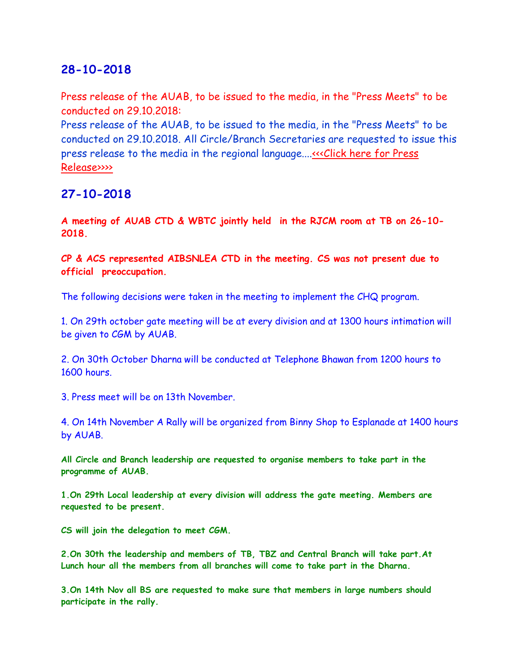Press release of the AUAB, to be issued to the media, in the "Press Meets" to be conducted on 29.10.2018:

Press release of the AUAB, to be issued to the media, in the "Press Meets" to be conducted on 29.10.2018. All Circle/Branch Secretaries are requested to issue this press release to the media in the regional language.... «<< Click here for Press [Release>>>>](http://www.aibsnleachq.in/Press%20statement%20dated%2027.10.2018.pdf)

## **27-10-2018**

**A meeting of AUAB CTD & WBTC jointly held in the RJCM room at TB on 26-10- 2018.**

**CP & ACS represented AIBSNLEA CTD in the meeting. CS was not present due to official preoccupation.**

The following decisions were taken in the meeting to implement the CHQ program.

1. On 29th october gate meeting will be at every division and at 1300 hours intimation will be given to CGM by AUAB.

2. On 30th October Dharna will be conducted at Telephone Bhawan from 1200 hours to 1600 hours.

3. Press meet will be on 13th November.

4. On 14th November A Rally will be organized from Binny Shop to Esplanade at 1400 hours by AUAB.

**All Circle and Branch leadership are requested to organise members to take part in the programme of AUAB.**

**1.On 29th Local leadership at every division will address the gate meeting. Members are requested to be present.** 

**CS will join the delegation to meet CGM.**

**2.On 30th the leadership and members of TB, TBZ and Central Branch will take part.At Lunch hour all the members from all branches will come to take part in the Dharna.**

**3.On 14th Nov all BS are requested to make sure that members in large numbers should participate in the rally.**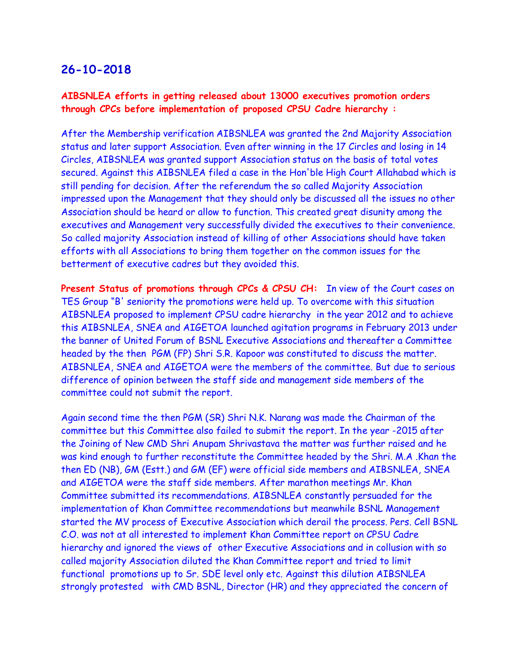#### **AIBSNLEA efforts in getting released about 13000 executives promotion orders through CPCs before implementation of proposed CPSU Cadre hierarchy :**

After the Membership verification AIBSNLEA was granted the 2nd Majority Association status and later support Association. Even after winning in the 17 Circles and losing in 14 Circles, AIBSNLEA was granted support Association status on the basis of total votes secured. Against this AIBSNLEA filed a case in the Hon'ble High Court Allahabad which is still pending for decision. After the referendum the so called Majority Association impressed upon the Management that they should only be discussed all the issues no other Association should be heard or allow to function. This created great disunity among the executives and Management very successfully divided the executives to their convenience. So called majority Association instead of killing of other Associations should have taken efforts with all Associations to bring them together on the common issues for the betterment of executive cadres but they avoided this.

**Present Status of promotions through CPCs & CPSU CH:** In view of the Court cases on TES Group "B' seniority the promotions were held up. To overcome with this situation AIBSNLEA proposed to implement CPSU cadre hierarchy in the year 2012 and to achieve this AIBSNLEA, SNEA and AIGETOA launched agitation programs in February 2013 under the banner of United Forum of BSNL Executive Associations and thereafter a Committee headed by the then PGM (FP) Shri S.R. Kapoor was constituted to discuss the matter. AIBSNLEA, SNEA and AIGETOA were the members of the committee. But due to serious difference of opinion between the staff side and management side members of the committee could not submit the report.

Again second time the then PGM (SR) Shri N.K. Narang was made the Chairman of the committee but this Committee also failed to submit the report. In the year -2015 after the Joining of New CMD Shri Anupam Shrivastava the matter was further raised and he was kind enough to further reconstitute the Committee headed by the Shri. M.A .Khan the then ED (NB), GM (Estt.) and GM (EF) were official side members and AIBSNLEA, SNEA and AIGETOA were the staff side members. After marathon meetings Mr. Khan Committee submitted its recommendations. AIBSNLEA constantly persuaded for the implementation of Khan Committee recommendations but meanwhile BSNL Management started the MV process of Executive Association which derail the process. Pers. Cell BSNL C.O. was not at all interested to implement Khan Committee report on CPSU Cadre hierarchy and ignored the views of other Executive Associations and in collusion with so called majority Association diluted the Khan Committee report and tried to limit functional promotions up to Sr. SDE level only etc. Against this dilution AIBSNLEA strongly protested with CMD BSNL, Director (HR) and they appreciated the concern of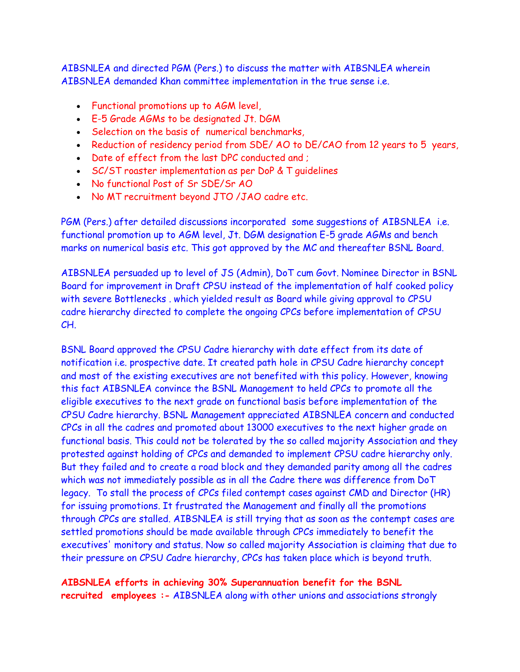AIBSNLEA and directed PGM (Pers.) to discuss the matter with AIBSNLEA wherein AIBSNLEA demanded Khan committee implementation in the true sense i.e.

- Functional promotions up to AGM level,
- E-5 Grade AGMs to be designated Jt. DGM
- Selection on the basis of numerical benchmarks,
- Reduction of residency period from SDE/ AO to DE/CAO from 12 years to 5 years,
- Date of effect from the last DPC conducted and ;
- SC/ST roaster implementation as per DoP & T guidelines
- No functional Post of Sr SDE/Sr AO
- No MT recruitment beyond JTO /JAO cadre etc.

PGM (Pers.) after detailed discussions incorporated some suggestions of AIBSNLEA i.e. functional promotion up to AGM level, Jt. DGM designation E-5 grade AGMs and bench marks on numerical basis etc. This got approved by the MC and thereafter BSNL Board.

AIBSNLEA persuaded up to level of JS (Admin), DoT cum Govt. Nominee Director in BSNL Board for improvement in Draft CPSU instead of the implementation of half cooked policy with severe Bottlenecks . which yielded result as Board while giving approval to CPSU cadre hierarchy directed to complete the ongoing CPCs before implementation of CPSU CH.

BSNL Board approved the CPSU Cadre hierarchy with date effect from its date of notification i.e. prospective date. It created path hole in CPSU Cadre hierarchy concept and most of the existing executives are not benefited with this policy. However, knowing this fact AIBSNLEA convince the BSNL Management to held CPCs to promote all the eligible executives to the next grade on functional basis before implementation of the CPSU Cadre hierarchy. BSNL Management appreciated AIBSNLEA concern and conducted CPCs in all the cadres and promoted about 13000 executives to the next higher grade on functional basis. This could not be tolerated by the so called majority Association and they protested against holding of CPCs and demanded to implement CPSU cadre hierarchy only. But they failed and to create a road block and they demanded parity among all the cadres which was not immediately possible as in all the Cadre there was difference from DoT legacy. To stall the process of CPCs filed contempt cases against CMD and Director (HR) for issuing promotions. It frustrated the Management and finally all the promotions through CPCs are stalled. AIBSNLEA is still trying that as soon as the contempt cases are settled promotions should be made available through CPCs immediately to benefit the executives' monitory and status. Now so called majority Association is claiming that due to their pressure on CPSU Cadre hierarchy, CPCs has taken place which is beyond truth.

**AIBSNLEA efforts in achieving 30% Superannuation benefit for the BSNL recruited employees :-** AIBSNLEA along with other unions and associations strongly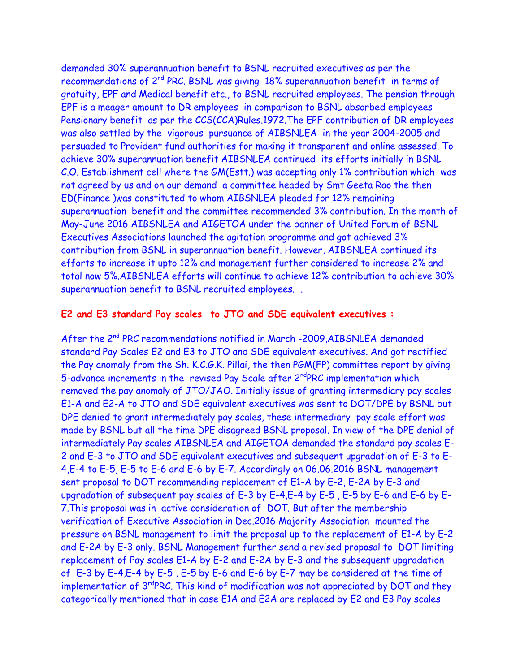demanded 30% superannuation benefit to BSNL recruited executives as per the recommendations of 2nd PRC. BSNL was giving 18% superannuation benefit in terms of gratuity, EPF and Medical benefit etc., to BSNL recruited employees. The pension through EPF is a meager amount to DR employees in comparison to BSNL absorbed employees Pensionary benefit as per the CCS(CCA)Rules.1972.The EPF contribution of DR employees was also settled by the vigorous pursuance of AIBSNLEA in the year 2004-2005 and persuaded to Provident fund authorities for making it transparent and online assessed. To achieve 30% superannuation benefit AIBSNLEA continued its efforts initially in BSNL C.O. Establishment cell where the GM(Estt.) was accepting only 1% contribution which was not agreed by us and on our demand a committee headed by Smt Geeta Rao the then ED(Finance )was constituted to whom AIBSNLEA pleaded for 12% remaining superannuation benefit and the committee recommended 3% contribution. In the month of May-June 2016 AIBSNLEA and AIGETOA under the banner of United Forum of BSNL Executives Associations launched the agitation programme and got achieved 3% contribution from BSNL in superannuation benefit. However, AIBSNLEA continued its efforts to increase it upto 12% and management further considered to increase 2% and total now 5%.AIBSNLEA efforts will continue to achieve 12% contribution to achieve 30% superannuation benefit to BSNL recruited employees. .

#### **E2 and E3 standard Pay scales to JTO and SDE equivalent executives :**

After the 2<sup>nd</sup> PRC recommendations notified in March -2009, AIBSNLEA demanded standard Pay Scales E2 and E3 to JTO and SDE equivalent executives. And got rectified the Pay anomaly from the Sh. K.C.G.K. Pillai, the then PGM(FP) committee report by giving 5-advance increments in the revised Pay Scale after 2<sup>nd</sup>PRC implementation which removed the pay anomaly of JTO/JAO. Initially issue of granting intermediary pay scales E1-A and E2-A to JTO and SDE equivalent executives was sent to DOT/DPE by BSNL but DPE denied to grant intermediately pay scales, these intermediary pay scale effort was made by BSNL but all the time DPE disagreed BSNL proposal. In view of the DPE denial of intermediately Pay scales AIBSNLEA and AIGETOA demanded the standard pay scales E-2 and E-3 to JTO and SDE equivalent executives and subsequent upgradation of E-3 to E-4,E-4 to E-5, E-5 to E-6 and E-6 by E-7. Accordingly on 06.06.2016 BSNL management sent proposal to DOT recommending replacement of E1-A by E-2, E-2A by E-3 and upgradation of subsequent pay scales of E-3 by E-4,E-4 by E-5 , E-5 by E-6 and E-6 by E-7.This proposal was in active consideration of DOT. But after the membership verification of Executive Association in Dec.2016 Majority Association mounted the pressure on BSNL management to limit the proposal up to the replacement of E1-A by E-2 and E-2A by E-3 only. BSNL Management further send a revised proposal to DOT limiting replacement of Pay scales E1-A by E-2 and E-2A by E-3 and the subsequent upgradation of E-3 by E-4,E-4 by E-5 , E-5 by E-6 and E-6 by E-7 may be considered at the time of implementation of 3<sup>rd</sup>PRC. This kind of modification was not appreciated by DOT and they categorically mentioned that in case E1A and E2A are replaced by E2 and E3 Pay scales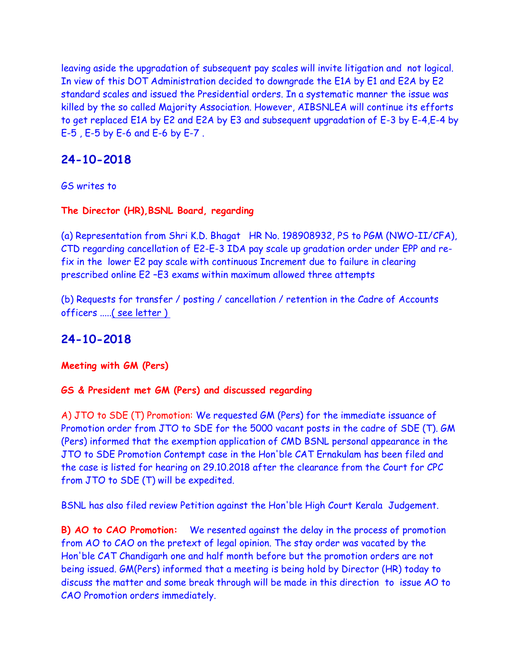leaving aside the upgradation of subsequent pay scales will invite litigation and not logical. In view of this DOT Administration decided to downgrade the E1A by E1 and E2A by E2 standard scales and issued the Presidential orders. In a systematic manner the issue was killed by the so called Majority Association. However, AIBSNLEA will continue its efforts to get replaced E1A by E2 and E2A by E3 and subsequent upgradation of E-3 by E-4,E-4 by E-5 , E-5 by E-6 and E-6 by E-7 .

# **24-10-2018**

GS writes to

**The Director (HR),BSNL Board, regarding** 

(a) Representation from Shri K.D. Bhagat HR No. 198908932, PS to PGM (NWO-II/CFA), CTD regarding cancellation of E2-E-3 IDA pay scale up gradation order under EPP and refix in the lower E2 pay scale with continuous Increment due to failure in clearing prescribed online E2 –E3 exams within maximum allowed three attempts

(b) Requests for transfer / posting / cancellation / retention in the Cadre of Accounts officers ....[.\( see letter \)](http://aibsnleawb.org/24102018.pdf) 

# **24-10-2018**

**Meeting with GM (Pers)**

#### **GS & President met GM (Pers) and discussed regarding**

A) JTO to SDE (T) Promotion: We requested GM (Pers) for the immediate issuance of Promotion order from JTO to SDE for the 5000 vacant posts in the cadre of SDE (T). GM (Pers) informed that the exemption application of CMD BSNL personal appearance in the JTO to SDE Promotion Contempt case in the Hon'ble CAT Ernakulam has been filed and the case is listed for hearing on 29.10.2018 after the clearance from the Court for CPC from JTO to SDE (T) will be expedited.

BSNL has also filed review Petition against the Hon'ble High Court Kerala Judgement.

**B) AO to CAO Promotion:** We resented against the delay in the process of promotion from AO to CAO on the pretext of legal opinion. The stay order was vacated by the Hon'ble CAT Chandigarh one and half month before but the promotion orders are not being issued. GM(Pers) informed that a meeting is being hold by Director (HR) today to discuss the matter and some break through will be made in this direction to issue AO to CAO Promotion orders immediately.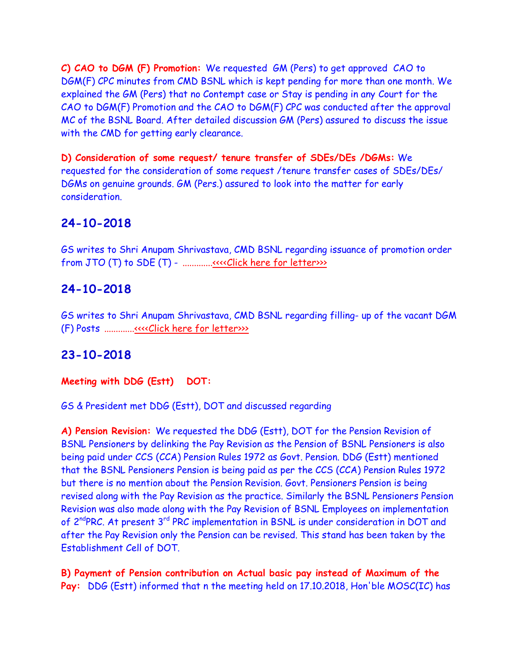**C) CAO to DGM (F) Promotion:** We requested GM (Pers) to get approved CAO to DGM(F) CPC minutes from CMD BSNL which is kept pending for more than one month. We explained the GM (Pers) that no Contempt case or Stay is pending in any Court for the CAO to DGM(F) Promotion and the CAO to DGM(F) CPC was conducted after the approval MC of the BSNL Board. After detailed discussion GM (Pers) assured to discuss the issue with the CMD for getting early clearance.

**D) Consideration of some request/ tenure transfer of SDEs/DEs /DGMs:** We requested for the consideration of some request /tenure transfer cases of SDEs/DEs/ DGMs on genuine grounds. GM (Pers.) assured to look into the matter for early consideration.

# **24-10-2018**

GS writes to Shri Anupam Shrivastava, CMD BSNL regarding issuance of promotion order from JTO (T) to SDE (T) - ............[.<<<<Click here for letter>>>](http://www.aibsnleachq.in/CMD_181024_1.PDF)

## **24-10-2018**

GS writes to Shri Anupam Shrivastava, CMD BSNL regarding filling- up of the vacant DGM (F) Posts ............[.<<<<Click here for letter>>>](http://www.aibsnleachq.in/CMD_181023.pdf)

## **23-10-2018**

**Meeting with DDG (Estt) DOT:**

GS & President met DDG (Estt), DOT and discussed regarding

**A) Pension Revision:** We requested the DDG (Estt), DOT for the Pension Revision of BSNL Pensioners by delinking the Pay Revision as the Pension of BSNL Pensioners is also being paid under CCS (CCA) Pension Rules 1972 as Govt. Pension. DDG (Estt) mentioned that the BSNL Pensioners Pension is being paid as per the CCS (CCA) Pension Rules 1972 but there is no mention about the Pension Revision. Govt. Pensioners Pension is being revised along with the Pay Revision as the practice. Similarly the BSNL Pensioners Pension Revision was also made along with the Pay Revision of BSNL Employees on implementation of 2<sup>nd</sup>PRC. At present 3<sup>rd</sup> PRC implementation in BSNL is under consideration in DOT and after the Pay Revision only the Pension can be revised. This stand has been taken by the Establishment Cell of DOT.

**B) Payment of Pension contribution on Actual basic pay instead of Maximum of the Pay:** DDG (Estt) informed that n the meeting held on 17.10.2018, Hon'ble MOSC(IC) has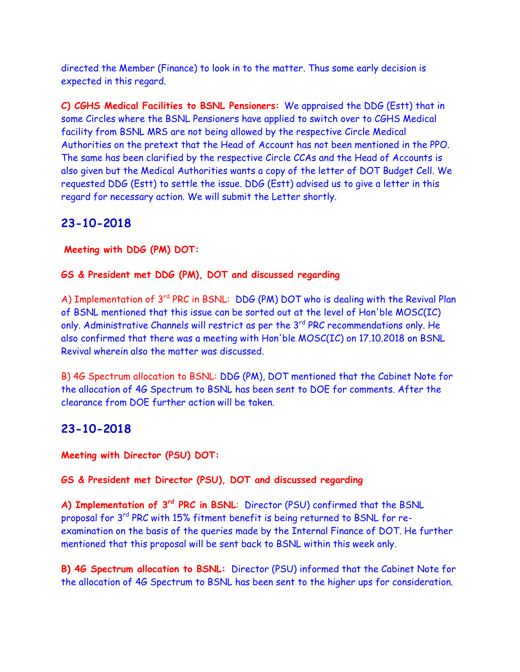directed the Member (Finance) to look in to the matter. Thus some early decision is expected in this regard.

**C) CGHS Medical Facilities to BSNL Pensioners:** We appraised the DDG (Estt) that in some Circles where the BSNL Pensioners have applied to switch over to CGHS Medical facility from BSNL MRS are not being allowed by the respective Circle Medical Authorities on the pretext that the Head of Account has not been mentioned in the PPO. The same has been clarified by the respective Circle CCAs and the Head of Accounts is also given but the Medical Authorities wants a copy of the letter of DOT Budget Cell. We requested DDG (Estt) to settle the issue. DDG (Estt) advised us to give a letter in this regard for necessary action. We will submit the Letter shortly.

# **23-10-2018**

**Meeting with DDG (PM) DOT:**

#### **GS & President met DDG (PM), DOT and discussed regarding**

A) Implementation of 3<sup>rd</sup> PRC in BSNL: DDG (PM) DOT who is dealing with the Revival Plan of BSNL mentioned that this issue can be sorted out at the level of Hon'ble MOSC(IC) only. Administrative Channels will restrict as per the 3<sup>rd</sup> PRC recommendations only. He also confirmed that there was a meeting with Hon'ble MOSC(IC) on 17.10.2018 on BSNL Revival wherein also the matter was discussed.

B) 4G Spectrum allocation to BSNL: DDG (PM), DOT mentioned that the Cabinet Note for the allocation of 4G Spectrum to BSNL has been sent to DOE for comments. After the clearance from DOE further action will be taken.

## **23-10-2018**

**Meeting with Director (PSU) DOT:**

#### **GS & President met Director (PSU), DOT and discussed regarding**

**A) Implementation of 3rd PRC in BSNL**: Director (PSU) confirmed that the BSNL proposal for 3rd PRC with 15% fitment benefit is being returned to BSNL for reexamination on the basis of the queries made by the Internal Finance of DOT. He further mentioned that this proposal will be sent back to BSNL within this week only.

**B) 4G Spectrum allocation to BSNL:** Director (PSU) informed that the Cabinet Note for the allocation of 4G Spectrum to BSNL has been sent to the higher ups for consideration.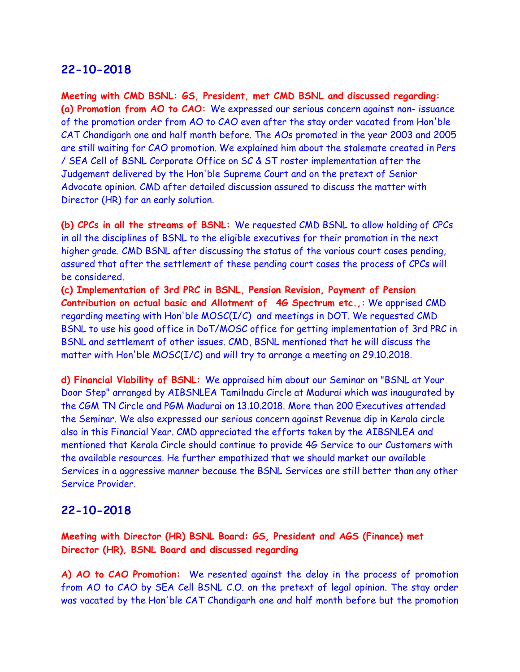**Meeting with CMD BSNL: GS, President, met CMD BSNL and discussed regarding: (a) Promotion from AO to CAO:** We expressed our serious concern against non- issuance of the promotion order from AO to CAO even after the stay order vacated from Hon'ble CAT Chandigarh one and half month before. The AOs promoted in the year 2003 and 2005 are still waiting for CAO promotion. We explained him about the stalemate created in Pers / SEA Cell of BSNL Corporate Office on SC & ST roster implementation after the Judgement delivered by the Hon'ble Supreme Court and on the pretext of Senior Advocate opinion. CMD after detailed discussion assured to discuss the matter with Director (HR) for an early solution.

**(b) CPCs in all the streams of BSNL:** We requested CMD BSNL to allow holding of CPCs in all the disciplines of BSNL to the eligible executives for their promotion in the next higher grade. CMD BSNL after discussing the status of the various court cases pending, assured that after the settlement of these pending court cases the process of CPCs will be considered.

**(c) Implementation of 3rd PRC in BSNL, Pension Revision, Payment of Pension Contribution on actual basic and Allotment of 4G Spectrum etc.,:** We apprised CMD regarding meeting with Hon'ble MOSC(I/C) and meetings in DOT. We requested CMD BSNL to use his good office in DoT/MOSC office for getting implementation of 3rd PRC in BSNL and settlement of other issues. CMD, BSNL mentioned that he will discuss the matter with Hon'ble MOSC(I/C) and will try to arrange a meeting on 29.10.2018.

**d) Financial Viability of BSNL:** We appraised him about our Seminar on "BSNL at Your Door Step" arranged by AIBSNLEA Tamilnadu Circle at Madurai which was inaugurated by the CGM TN Circle and PGM Madurai on 13.10.2018. More than 200 Executives attended the Seminar. We also expressed our serious concern against Revenue dip in Kerala circle also in this Financial Year. CMD appreciated the efforts taken by the AIBSNLEA and mentioned that Kerala Circle should continue to provide 4G Service to our Customers with the available resources. He further empathized that we should market our available Services in a aggressive manner because the BSNL Services are still better than any other Service Provider.

#### **22-10-2018**

**Meeting with Director (HR) BSNL Board: GS, President and AGS (Finance) met Director (HR), BSNL Board and discussed regarding**

**A) AO to CAO Promotion:** We resented against the delay in the process of promotion from AO to CAO by SEA Cell BSNL C.O. on the pretext of legal opinion. The stay order was vacated by the Hon'ble CAT Chandigarh one and half month before but the promotion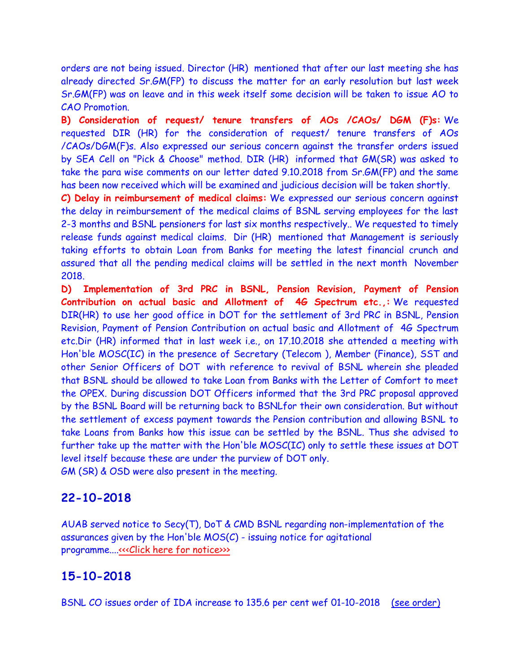orders are not being issued. Director (HR) mentioned that after our last meeting she has already directed Sr.GM(FP) to discuss the matter for an early resolution but last week Sr.GM(FP) was on leave and in this week itself some decision will be taken to issue AO to CAO Promotion.

**B) Consideration of request/ tenure transfers of AOs /CAOs/ DGM (F)s:** We requested DIR (HR) for the consideration of request/ tenure transfers of AOs /CAOs/DGM(F)s. Also expressed our serious concern against the transfer orders issued by SEA Cell on "Pick & Choose" method. DIR (HR) informed that GM(SR) was asked to take the para wise comments on our letter dated 9.10.2018 from Sr.GM(FP) and the same has been now received which will be examined and judicious decision will be taken shortly.

**C) Delay in reimbursement of medical claims:** We expressed our serious concern against the delay in reimbursement of the medical claims of BSNL serving employees for the last 2-3 months and BSNL pensioners for last six months respectively.. We requested to timely release funds against medical claims. Dir (HR) mentioned that Management is seriously taking efforts to obtain Loan from Banks for meeting the latest financial crunch and assured that all the pending medical claims will be settled in the next month November 2018.

**D) Implementation of 3rd PRC in BSNL, Pension Revision, Payment of Pension Contribution on actual basic and Allotment of 4G Spectrum etc.,:** We requested DIR(HR) to use her good office in DOT for the settlement of 3rd PRC in BSNL, Pension Revision, Payment of Pension Contribution on actual basic and Allotment of 4G Spectrum etc.Dir (HR) informed that in last week i.e., on 17.10.2018 she attended a meeting with Hon'ble MOSC(IC) in the presence of Secretary (Telecom ), Member (Finance), SST and other Senior Officers of DOT with reference to revival of BSNL wherein she pleaded that BSNL should be allowed to take Loan from Banks with the Letter of Comfort to meet the OPEX. During discussion DOT Officers informed that the 3rd PRC proposal approved by the BSNL Board will be returning back to BSNLfor their own consideration. But without the settlement of excess payment towards the Pension contribution and allowing BSNL to take Loans from Banks how this issue can be settled by the BSNL. Thus she advised to further take up the matter with the Hon'ble MOSC(IC) only to settle these issues at DOT level itself because these are under the purview of DOT only.

GM (SR) & OSD were also present in the meeting.

## **22-10-2018**

AUAB served notice to Secy(T), DoT & CMD BSNL regarding non-implementation of the assurances given by the Hon'ble MOS(C) - issuing notice for agitational programme...[.<<<Click here for notice>>>](http://www.aibsnleachq.in/Non%20implementation%20of%20assurances.PDF)>

## **15-10-2018**

BSNL CO issues order of IDA increase to 135.6 per cent wef 01-10-2018 [\(see order\)](http://aibsnleawb.org/ida1018.pdf)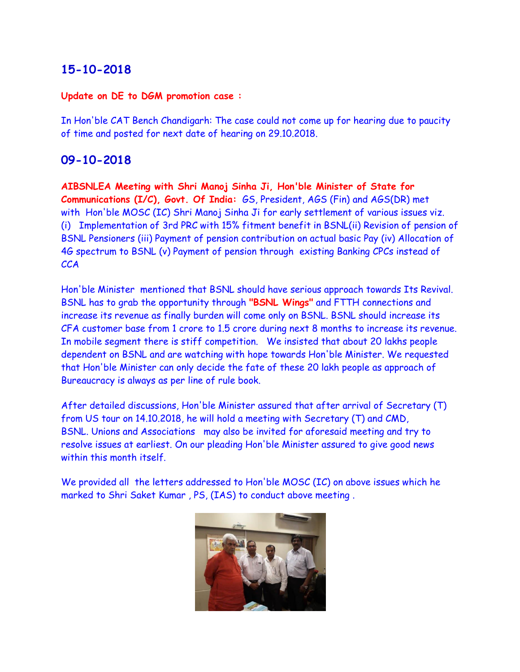#### **Update on DE to DGM promotion case :**

In Hon'ble CAT Bench Chandigarh: The case could not come up for hearing due to paucity of time and posted for next date of hearing on 29.10.2018.

## **09-10-2018**

**AIBSNLEA Meeting with Shri Manoj Sinha Ji, Hon'ble Minister of State for Communications (I/C), Govt. Of India:** GS, President, AGS (Fin) and AGS(DR) met with Hon'ble MOSC (IC) Shri Manoj Sinha Ji for early settlement of various issues viz. (i) Implementation of 3rd PRC with 15% fitment benefit in BSNL(ii) Revision of pension of BSNL Pensioners (iii) Payment of pension contribution on actual basic Pay (iv) Allocation of 4G spectrum to BSNL (v) Payment of pension through existing Banking CPCs instead of **CCA** 

Hon'ble Minister mentioned that BSNL should have serious approach towards Its Revival. BSNL has to grab the opportunity through **"BSNL Wings"** and FTTH connections and increase its revenue as finally burden will come only on BSNL. BSNL should increase its CFA customer base from 1 crore to 1.5 crore during next 8 months to increase its revenue. In mobile segment there is stiff competition. We insisted that about 20 lakhs people dependent on BSNL and are watching with hope towards Hon'ble Minister. We requested that Hon'ble Minister can only decide the fate of these 20 lakh people as approach of Bureaucracy is always as per line of rule book.

After detailed discussions, Hon'ble Minister assured that after arrival of Secretary (T) from US tour on 14.10.2018, he will hold a meeting with Secretary (T) and CMD, BSNL. Unions and Associations may also be invited for aforesaid meeting and try to resolve issues at earliest. On our pleading Hon'ble Minister assured to give good news within this month itself.

We provided all the letters addressed to Hon'ble MOSC (IC) on above issues which he marked to Shri Saket Kumar , PS, (IAS) to conduct above meeting .

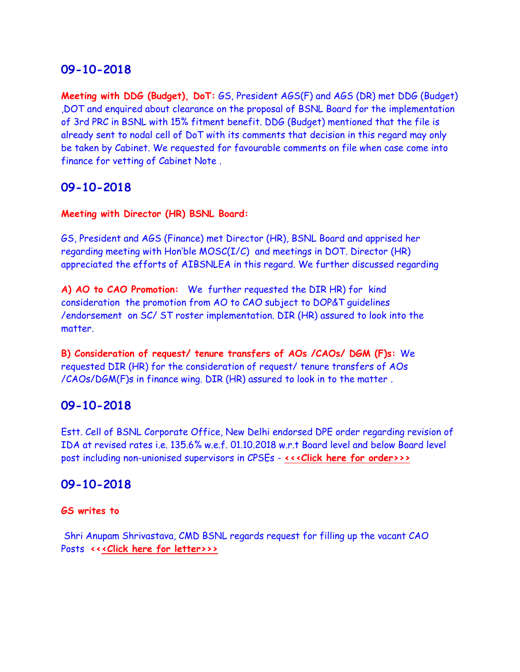**Meeting with DDG (Budget), DoT:** GS, President AGS(F) and AGS (DR) met DDG (Budget) ,DOT and enquired about clearance on the proposal of BSNL Board for the implementation of 3rd PRC in BSNL with 15% fitment benefit. DDG (Budget) mentioned that the file is already sent to nodal cell of DoT with its comments that decision in this regard may only be taken by Cabinet. We requested for favourable comments on file when case come into finance for vetting of Cabinet Note .

## **09-10-2018**

#### **Meeting with Director (HR) BSNL Board:**

GS, President and AGS (Finance) met Director (HR), BSNL Board and apprised her regarding meeting with Hon'ble MOSC(I/C) and meetings in DOT. Director (HR) appreciated the efforts of AIBSNLEA in this regard. We further discussed regarding

**A) AO to CAO Promotion:** We further requested the DIR HR) for kind consideration the promotion from AO to CAO subject to DOP&T guidelines /endorsement on SC/ ST roster implementation. DIR (HR) assured to look into the matter.

**B) Consideration of request/ tenure transfers of AOs /CAOs/ DGM (F)s:** We requested DIR (HR) for the consideration of request/ tenure transfers of AOs /CAOs/DGM(F)s in finance wing. DIR (HR) assured to look in to the matter .

## **09-10-2018**

Estt. Cell of BSNL Corporate Office, New Delhi endorsed DPE order regarding revision of IDA at revised rates i.e. 135.6% w.e.f. 01.10.2018 w.r.t Board level and below Board level post including non-unionised supervisors in CPSEs - **[<<<Click here for order>>>](http://www.aibsnleachq.in/IDA%2001.10.20180001.pdf)**

## **09-10-2018**

#### **GS writes to**

 Shri Anupam Shrivastava, CMD BSNL regards request for filling up the vacant CAO Posts **<[<<Click here for letter>>>](http://www.aibsnleachq.in/CMD_181009.PDF)**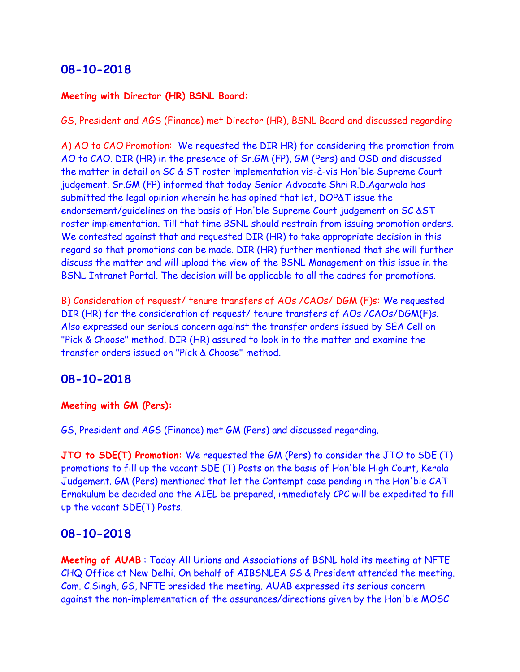#### **Meeting with Director (HR) BSNL Board:**

GS, President and AGS (Finance) met Director (HR), BSNL Board and discussed regarding

A) AO to CAO Promotion: We requested the DIR HR) for considering the promotion from AO to CAO. DIR (HR) in the presence of Sr.GM (FP), GM (Pers) and OSD and discussed the matter in detail on SC & ST roster implementation vis-à-vis Hon'ble Supreme Court judgement. Sr.GM (FP) informed that today Senior Advocate Shri R.D.Agarwala has submitted the legal opinion wherein he has opined that let, DOP&T issue the endorsement/guidelines on the basis of Hon'ble Supreme Court judgement on SC &ST roster implementation. Till that time BSNL should restrain from issuing promotion orders. We contested against that and requested DIR (HR) to take appropriate decision in this regard so that promotions can be made. DIR (HR) further mentioned that she will further discuss the matter and will upload the view of the BSNL Management on this issue in the BSNL Intranet Portal. The decision will be applicable to all the cadres for promotions.

B) Consideration of request/ tenure transfers of AOs /CAOs/ DGM (F)s: We requested DIR (HR) for the consideration of request/ tenure transfers of AOs /CAOs/DGM(F)s. Also expressed our serious concern against the transfer orders issued by SEA Cell on "Pick & Choose" method. DIR (HR) assured to look in to the matter and examine the transfer orders issued on "Pick & Choose" method.

#### **08-10-2018**

#### **Meeting with GM (Pers):**

GS, President and AGS (Finance) met GM (Pers) and discussed regarding.

**JTO to SDE(T) Promotion:** We requested the GM (Pers) to consider the JTO to SDE (T) promotions to fill up the vacant SDE (T) Posts on the basis of Hon'ble High Court, Kerala Judgement. GM (Pers) mentioned that let the Contempt case pending in the Hon'ble CAT Ernakulum be decided and the AIEL be prepared, immediately CPC will be expedited to fill up the vacant SDE(T) Posts.

#### **08-10-2018**

**Meeting of AUAB** : Today All Unions and Associations of BSNL hold its meeting at NFTE CHQ Office at New Delhi. On behalf of AIBSNLEA GS & President attended the meeting. Com. C.Singh, GS, NFTE presided the meeting. AUAB expressed its serious concern against the non-implementation of the assurances/directions given by the Hon'ble MOSC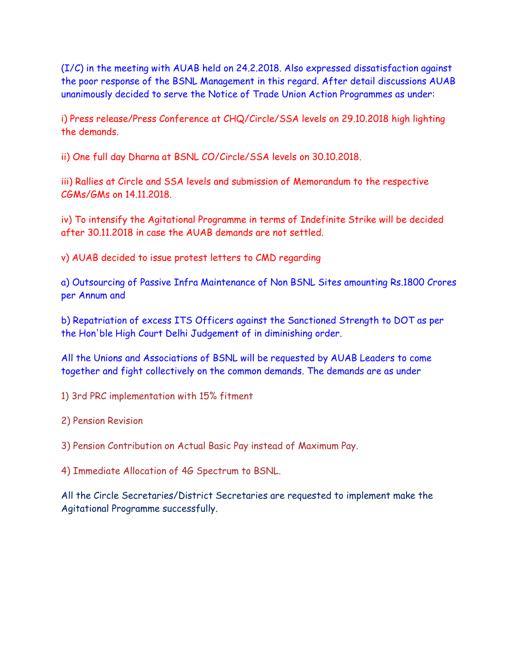(I/C) in the meeting with AUAB held on 24.2.2018. Also expressed dissatisfaction against the poor response of the BSNL Management in this regard. After detail discussions AUAB unanimously decided to serve the Notice of Trade Union Action Programmes as under:

i) Press release/Press Conference at CHQ/Circle/SSA levels on 29.10.2018 high lighting the demands.

ii) One full day Dharna at BSNL CO/Circle/SSA levels on 30.10.2018.

iii) Rallies at Circle and SSA levels and submission of Memorandum to the respective CGMs/GMs on 14.11.2018.

iv) To intensify the Agitational Programme in terms of Indefinite Strike will be decided after 30.11.2018 in case the AUAB demands are not settled.

v) AUAB decided to issue protest letters to CMD regarding

a) Outsourcing of Passive Infra Maintenance of Non BSNL Sites amounting Rs.1800 Crores per Annum and

b) Repatriation of excess ITS Officers against the Sanctioned Strength to DOT as per the Hon'ble High Court Delhi Judgement of in diminishing order.

All the Unions and Associations of BSNL will be requested by AUAB Leaders to come together and fight collectively on the common demands. The demands are as under

1) 3rd PRC implementation with 15% fitment

2) Pension Revision

3) Pension Contribution on Actual Basic Pay instead of Maximum Pay.

4) Immediate Allocation of 4G Spectrum to BSNL.

All the Circle Secretaries/District Secretaries are requested to implement make the Agitational Programme successfully.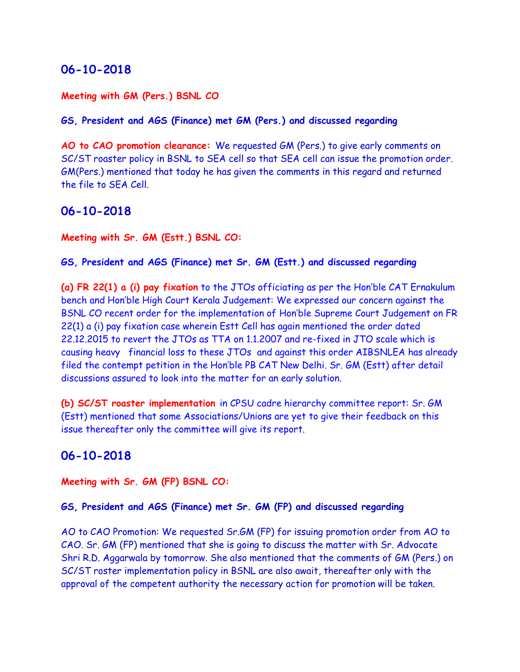#### **Meeting with GM (Pers.) BSNL CO**

#### **GS, President and AGS (Finance) met GM (Pers.) and discussed regarding**

**AO to CAO promotion clearance:** We requested GM (Pers.) to give early comments on SC/ST roaster policy in BSNL to SEA cell so that SEA cell can issue the promotion order. GM(Pers.) mentioned that today he has given the comments in this regard and returned the file to SEA Cell.

#### **06-10-2018**

#### **Meeting with Sr. GM (Estt.) BSNL CO:**

#### **GS, President and AGS (Finance) met Sr. GM (Estt.) and discussed regarding**

**(a) FR 22(1) a (i) pay fixation** to the JTOs officiating as per the Hon'ble CAT Ernakulum bench and Hon'ble High Court Kerala Judgement: We expressed our concern against the BSNL CO recent order for the implementation of Hon'ble Supreme Court Judgement on FR 22(1) a (i) pay fixation case wherein Estt Cell has again mentioned the order dated 22.12.2015 to revert the JTOs as TTA on 1.1.2007 and re-fixed in JTO scale which is causing heavy financial loss to these JTOs and against this order AIBSNLEA has already filed the contempt petition in the Hon'ble PB CAT New Delhi. Sr. GM (Estt) after detail discussions assured to look into the matter for an early solution.

**(b) SC/ST roaster implementation** in CPSU cadre hierarchy committee report: Sr. GM (Estt) mentioned that some Associations/Unions are yet to give their feedback on this issue thereafter only the committee will give its report.

#### **06-10-2018**

**Meeting with Sr. GM (FP) BSNL CO:**

#### **GS, President and AGS (Finance) met Sr. GM (FP) and discussed regarding**

AO to CAO Promotion: We requested Sr.GM (FP) for issuing promotion order from AO to CAO. Sr. GM (FP) mentioned that she is going to discuss the matter with Sr. Advocate Shri R.D. Aggarwala by tomorrow. She also mentioned that the comments of GM (Pers.) on SC/ST roster implementation policy in BSNL are also await, thereafter only with the approval of the competent authority the necessary action for promotion will be taken.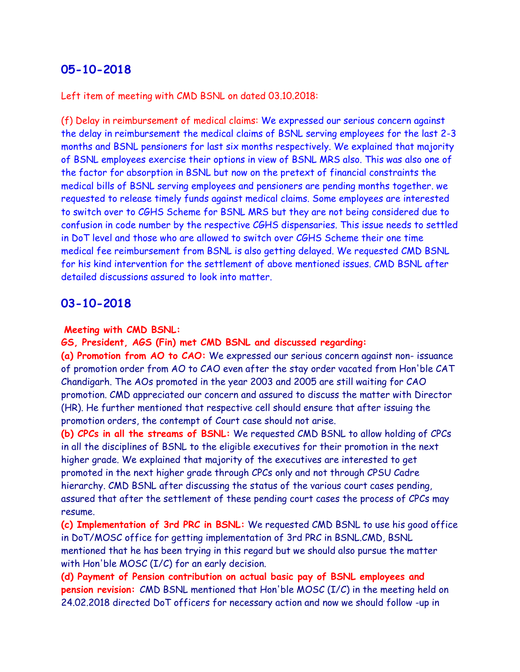Left item of meeting with CMD BSNL on dated 03.10.2018:

(f) Delay in reimbursement of medical claims: We expressed our serious concern against the delay in reimbursement the medical claims of BSNL serving employees for the last 2-3 months and BSNL pensioners for last six months respectively. We explained that majority of BSNL employees exercise their options in view of BSNL MRS also. This was also one of the factor for absorption in BSNL but now on the pretext of financial constraints the medical bills of BSNL serving employees and pensioners are pending months together. we requested to release timely funds against medical claims. Some employees are interested to switch over to CGHS Scheme for BSNL MRS but they are not being considered due to confusion in code number by the respective CGHS dispensaries. This issue needs to settled in DoT level and those who are allowed to switch over CGHS Scheme their one time medical fee reimbursement from BSNL is also getting delayed. We requested CMD BSNL for his kind intervention for the settlement of above mentioned issues. CMD BSNL after detailed discussions assured to look into matter.

#### **03-10-2018**

#### **Meeting with CMD BSNL:**

**GS, President, AGS (Fin) met CMD BSNL and discussed regarding:**

**(a) Promotion from AO to CAO:** We expressed our serious concern against non- issuance of promotion order from AO to CAO even after the stay order vacated from Hon'ble CAT Chandigarh. The AOs promoted in the year 2003 and 2005 are still waiting for CAO promotion. CMD appreciated our concern and assured to discuss the matter with Director (HR). He further mentioned that respective cell should ensure that after issuing the promotion orders, the contempt of Court case should not arise.

**(b) CPCs in all the streams of BSNL:** We requested CMD BSNL to allow holding of CPCs in all the disciplines of BSNL to the eligible executives for their promotion in the next higher grade. We explained that majority of the executives are interested to get promoted in the next higher grade through CPCs only and not through CPSU Cadre hierarchy. CMD BSNL after discussing the status of the various court cases pending, assured that after the settlement of these pending court cases the process of CPCs may resume.

**(c) Implementation of 3rd PRC in BSNL:** We requested CMD BSNL to use his good office in DoT/MOSC office for getting implementation of 3rd PRC in BSNL.CMD, BSNL mentioned that he has been trying in this regard but we should also pursue the matter with Hon'ble MOSC (I/C) for an early decision.

**(d) Payment of Pension contribution on actual basic pay of BSNL employees and pension revision:** CMD BSNL mentioned that Hon'ble MOSC (I/C) in the meeting held on 24.02.2018 directed DoT officers for necessary action and now we should follow -up in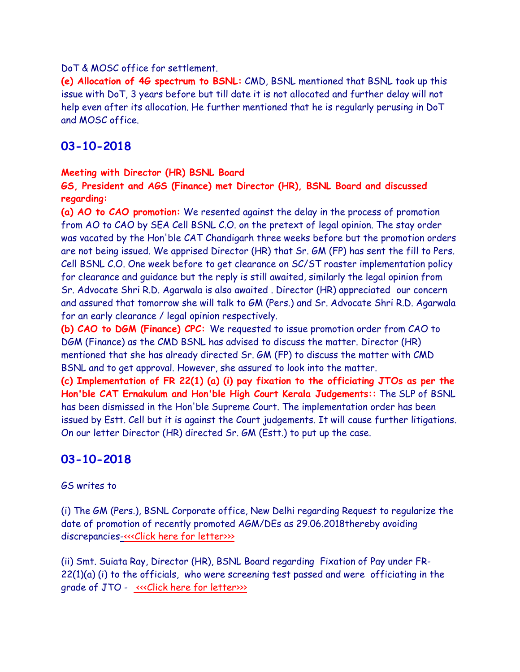#### DoT & MOSC office for settlement.

**(e) Allocation of 4G spectrum to BSNL:** CMD, BSNL mentioned that BSNL took up this issue with DoT, 3 years before but till date it is not allocated and further delay will not help even after its allocation. He further mentioned that he is regularly perusing in DoT and MOSC office.

### **03-10-2018**

#### **Meeting with Director (HR) BSNL Board**

**GS, President and AGS (Finance) met Director (HR), BSNL Board and discussed regarding:**

**(a) AO to CAO promotion:** We resented against the delay in the process of promotion from AO to CAO by SEA Cell BSNL C.O. on the pretext of legal opinion. The stay order was vacated by the Hon'ble CAT Chandigarh three weeks before but the promotion orders are not being issued. We apprised Director (HR) that Sr. GM (FP) has sent the fill to Pers. Cell BSNL C.O. One week before to get clearance on SC/ST roaster implementation policy for clearance and guidance but the reply is still awaited, similarly the legal opinion from Sr. Advocate Shri R.D. Agarwala is also awaited . Director (HR) appreciated our concern and assured that tomorrow she will talk to GM (Pers.) and Sr. Advocate Shri R.D. Agarwala for an early clearance / legal opinion respectively.

**(b) CAO to DGM (Finance) CPC:** We requested to issue promotion order from CAO to DGM (Finance) as the CMD BSNL has advised to discuss the matter. Director (HR) mentioned that she has already directed Sr. GM (FP) to discuss the matter with CMD BSNL and to get approval. However, she assured to look into the matter.

**(c) Implementation of FR 22(1) (a) (i) pay fixation to the officiating JTOs as per the Hon'ble CAT Ernakulum and Hon'ble High Court Kerala Judgements::** The SLP of BSNL has been dismissed in the Hon'ble Supreme Court. The implementation order has been issued by Estt. Cell but it is against the Court judgements. It will cause further litigations. On our letter Director (HR) directed Sr. GM (Estt.) to put up the case.

## **03-10-2018**

#### GS writes to

(i) The GM (Pers.), BSNL Corporate office, New Delhi regarding Request to regularize the date of promotion of recently promoted AGM/DEs as 29.06.2018thereby avoiding discrepancie[s-<<<Click here for letter>>>](http://www.aibsnleachq.in/GMP_181003.PDF)>

(ii) Smt. Suiata Ray, Director (HR), BSNL Board regarding Fixation of Pay under FR- $22(1)(a)$  (i) to the officials, who were screening test passed and were officiating in the grade of JTO - «<< Click here for letter>>>